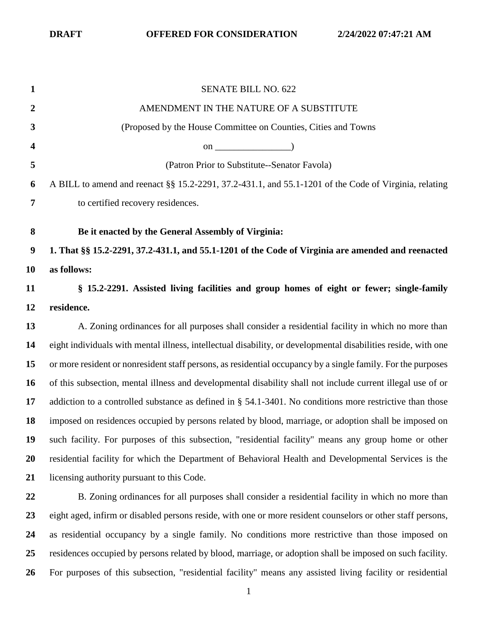| $\mathbf{1}$            | <b>SENATE BILL NO. 622</b>                                                                                     |
|-------------------------|----------------------------------------------------------------------------------------------------------------|
| $\boldsymbol{2}$        | AMENDMENT IN THE NATURE OF A SUBSTITUTE                                                                        |
| 3                       | (Proposed by the House Committee on Counties, Cities and Towns                                                 |
| $\overline{\mathbf{4}}$ | on $\qquad$ (0.000 $\qquad$ )                                                                                  |
| 5                       | (Patron Prior to Substitute--Senator Favola)                                                                   |
| 6                       | A BILL to amend and reenact §§ 15.2-2291, 37.2-431.1, and 55.1-1201 of the Code of Virginia, relating          |
| 7                       | to certified recovery residences.                                                                              |
| 8                       | Be it enacted by the General Assembly of Virginia:                                                             |
| $\boldsymbol{9}$        | 1. That $\S$ $\S$ 15.2-2291, 37.2-431.1, and 55.1-1201 of the Code of Virginia are amended and reenacted       |
| 10                      | as follows:                                                                                                    |
| 11                      | § 15.2-2291. Assisted living facilities and group homes of eight or fewer; single-family                       |
| 12                      | residence.                                                                                                     |
| 13                      | A. Zoning ordinances for all purposes shall consider a residential facility in which no more than              |
| 14                      | eight individuals with mental illness, intellectual disability, or developmental disabilities reside, with one |
| 15                      | or more resident or nonresident staff persons, as residential occupancy by a single family. For the purposes   |
| <b>16</b>               | of this subsection, mental illness and developmental disability shall not include current illegal use of or    |
| 17                      | addiction to a controlled substance as defined in $\S$ 54.1-3401. No conditions more restrictive than those    |
| 18                      | imposed on residences occupied by persons related by blood, marriage, or adoption shall be imposed on          |
| 19                      | such facility. For purposes of this subsection, "residential facility" means any group home or other           |
| 20                      | residential facility for which the Department of Behavioral Health and Developmental Services is the           |
| 21                      | licensing authority pursuant to this Code.                                                                     |
| 22                      | B. Zoning ordinances for all purposes shall consider a residential facility in which no more than              |
| 23                      | eight aged, infirm or disabled persons reside, with one or more resident counselors or other staff persons,    |
| 24                      | as residential occupancy by a single family. No conditions more restrictive than those imposed on              |
| 25                      | residences occupied by persons related by blood, marriage, or adoption shall be imposed on such facility.      |
| <b>26</b>               | For purposes of this subsection, "residential facility" means any assisted living facility or residential      |
|                         |                                                                                                                |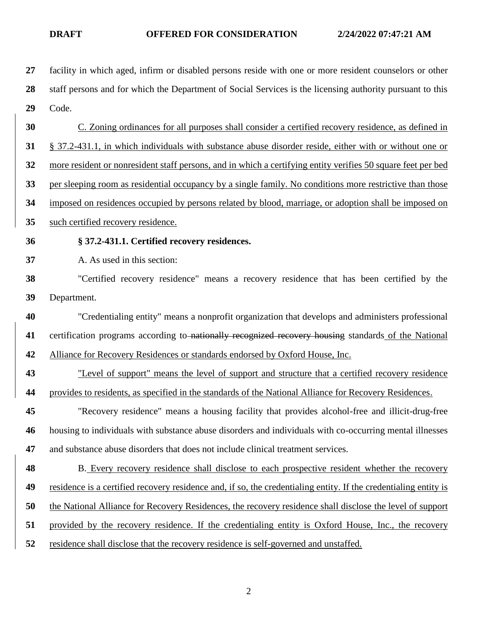| 27 | facility in which aged, infirm or disabled persons reside with one or more resident counselors or other          |
|----|------------------------------------------------------------------------------------------------------------------|
| 28 | staff persons and for which the Department of Social Services is the licensing authority pursuant to this        |
| 29 | Code.                                                                                                            |
| 30 | C. Zoning ordinances for all purposes shall consider a certified recovery residence, as defined in               |
| 31 | § 37.2-431.1, in which individuals with substance abuse disorder reside, either with or without one or           |
| 32 | more resident or nonresident staff persons, and in which a certifying entity verifies 50 square feet per bed     |
| 33 | per sleeping room as residential occupancy by a single family. No conditions more restrictive than those         |
| 34 | imposed on residences occupied by persons related by blood, marriage, or adoption shall be imposed on            |
| 35 | such certified recovery residence.                                                                               |
| 36 | § 37.2-431.1. Certified recovery residences.                                                                     |
| 37 | A. As used in this section:                                                                                      |
| 38 | "Certified recovery residence" means a recovery residence that has been certified by the                         |
| 39 | Department.                                                                                                      |
| 40 | "Credentialing entity" means a nonprofit organization that develops and administers professional                 |
| 41 | certification programs according to nationally recognized recovery housing standards of the National             |
| 42 | Alliance for Recovery Residences or standards endorsed by Oxford House, Inc.                                     |
| 43 | "Level of support" means the level of support and structure that a certified recovery residence                  |
| 44 | provides to residents, as specified in the standards of the National Alliance for Recovery Residences.           |
| 45 | "Recovery residence" means a housing facility that provides alcohol-free and illicit-drug-free                   |
| 46 | housing to individuals with substance abuse disorders and individuals with co-occurring mental illnesses         |
| 47 | and substance abuse disorders that does not include clinical treatment services.                                 |
| 48 | B. Every recovery residence shall disclose to each prospective resident whether the recovery                     |
| 49 | residence is a certified recovery residence and, if so, the credentialing entity. If the credentialing entity is |
| 50 | the National Alliance for Recovery Residences, the recovery residence shall disclose the level of support        |
| 51 | provided by the recovery residence. If the credentialing entity is Oxford House, Inc., the recovery              |
| 52 | residence shall disclose that the recovery residence is self-governed and unstaffed.                             |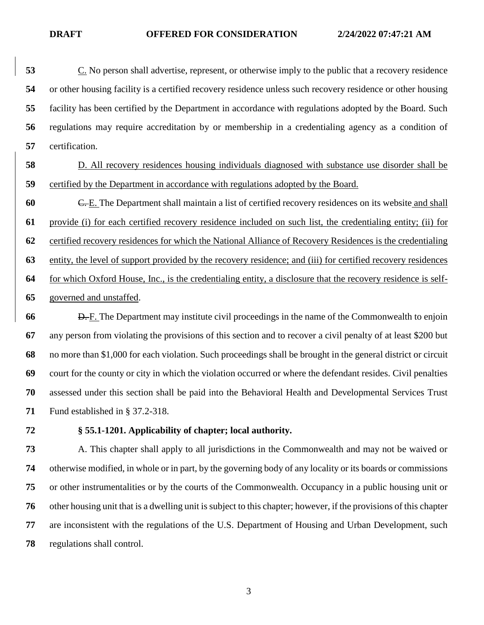C. No person shall advertise, represent, or otherwise imply to the public that a recovery residence or other housing facility is a certified recovery residence unless such recovery residence or other housing facility has been certified by the Department in accordance with regulations adopted by the Board. Such regulations may require accreditation by or membership in a credentialing agency as a condition of certification.

 D. All recovery residences housing individuals diagnosed with substance use disorder shall be certified by the Department in accordance with regulations adopted by the Board.

 C. E. The Department shall maintain a list of certified recovery residences on its website and shall provide (i) for each certified recovery residence included on such list, the credentialing entity; (ii) for certified recovery residences for which the National Alliance of Recovery Residences is the credentialing entity, the level of support provided by the recovery residence; and (iii) for certified recovery residences for which Oxford House, Inc., is the credentialing entity, a disclosure that the recovery residence is self-governed and unstaffed.

 **D.** F. The Department may institute civil proceedings in the name of the Commonwealth to enjoin any person from violating the provisions of this section and to recover a civil penalty of at least \$200 but no more than \$1,000 for each violation. Such proceedings shall be brought in the general district or circuit court for the county or city in which the violation occurred or where the defendant resides. Civil penalties assessed under this section shall be paid into the Behavioral Health and Developmental Services Trust Fund established in § 37.2-318.

## **§ 55.1-1201. Applicability of chapter; local authority.**

 A. This chapter shall apply to all jurisdictions in the Commonwealth and may not be waived or otherwise modified, in whole or in part, by the governing body of any locality or its boards or commissions or other instrumentalities or by the courts of the Commonwealth. Occupancy in a public housing unit or other housing unit that is a dwelling unit is subject to this chapter; however, if the provisions of this chapter are inconsistent with the regulations of the U.S. Department of Housing and Urban Development, such regulations shall control.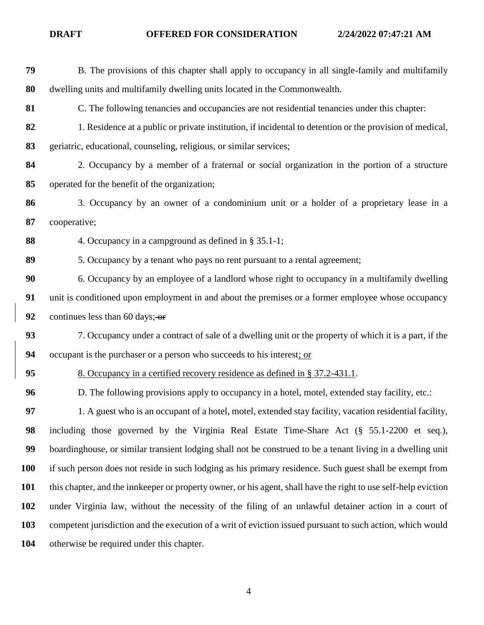| 79  | B. The provisions of this chapter shall apply to occupancy in all single-family and multifamily                 |
|-----|-----------------------------------------------------------------------------------------------------------------|
| 80  | dwelling units and multifamily dwelling units located in the Commonwealth.                                      |
| 81  | C. The following tenancies and occupancies are not residential tenancies under this chapter:                    |
| 82  | 1. Residence at a public or private institution, if incidental to detention or the provision of medical,        |
| 83  | geriatric, educational, counseling, religious, or similar services;                                             |
| 84  | 2. Occupancy by a member of a fraternal or social organization in the portion of a structure                    |
| 85  | operated for the benefit of the organization;                                                                   |
| 86  | 3. Occupancy by an owner of a condominium unit or a holder of a proprietary lease in a                          |
| 87  | cooperative;                                                                                                    |
| 88  | 4. Occupancy in a campground as defined in § 35.1-1;                                                            |
| 89  | 5. Occupancy by a tenant who pays no rent pursuant to a rental agreement;                                       |
| 90  | 6. Occupancy by an employee of a landlord whose right to occupancy in a multifamily dwelling                    |
| 91  | unit is conditioned upon employment in and about the premises or a former employee whose occupancy              |
| 92  | continues less than 60 days; $-$ or                                                                             |
| 93  | 7. Occupancy under a contract of sale of a dwelling unit or the property of which it is a part, if the          |
| 94  | occupant is the purchaser or a person who succeeds to his interest; or                                          |
| 95  | 8. Occupancy in a certified recovery residence as defined in § 37.2-431.1.                                      |
| 96  | D. The following provisions apply to occupancy in a hotel, motel, extended stay facility, etc.:                 |
| 97  | 1. A guest who is an occupant of a hotel, motel, extended stay facility, vacation residential facility,         |
| 98  | including those governed by the Virginia Real Estate Time-Share Act (§ 55.1-2200 et seq.),                      |
| 99  | boardinghouse, or similar transient lodging shall not be construed to be a tenant living in a dwelling unit     |
| 100 | if such person does not reside in such lodging as his primary residence. Such guest shall be exempt from        |
| 101 | this chapter, and the innkeeper or property owner, or his agent, shall have the right to use self-help eviction |
| 102 | under Virginia law, without the necessity of the filing of an unlawful detainer action in a court of            |
| 103 | competent jurisdiction and the execution of a writ of eviction issued pursuant to such action, which would      |
| 104 | otherwise be required under this chapter.                                                                       |